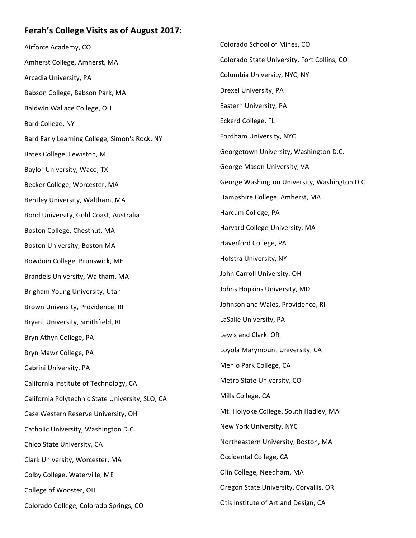## Ferah's College Visits as of August 2017:

Airforce Academy, CO Amherst College, Amherst, MA Arcadia University, PA Babson College, Babson Park, MA Baldwin Wallace College, OH Bard College, NY Bard Early Learning College, Simon's Rock, NY Bates College, Lewiston, ME Baylor University, Waco, TX Becker College, Worcester, MA Bentley University, Waltham, MA Bond University, Gold Coast, Australia Boston College, Chestnut, MA Boston University, Boston MA Bowdoin College, Brunswick, ME Brandeis University, Waltham, MA Brigham Young University, Utah Brown University, Providence, RI Bryant University, Smithfield, RI Bryn Athyn College, PA Bryn Mawr College, PA Cabrini University, PA California Institute of Technology, CA California Polytechnic State University, SLO, CA Case Western Reserve University, OH Catholic University, Washington D.C. Chico State University, CA Clark University, Worcester, MA Colby College, Waterville, ME College of Wooster, OH Colorado College, Colorado Springs, CO Colorado School of Mines, CO Colorado State University, Fort Collins, CO Columbia University, NYC, NY Drexel University, PA Eastern University, PA Eckerd College, FL Fordham University, NYC Georgetown University, Washington D.C. George Mason University, VA George Washington University, Washington D.C. Hampshire College, Amherst, MA Harcum College, PA Harvard College-University, MA Haverford College, PA Hofstra University, NY John Carroll University, OH Johns Hopkins University, MD Johnson and Wales, Providence, RI LaSalle University, PA Lewis and Clark, OR Loyola Marymount University, CA Menlo Park College, CA Metro State University, CO Mills College, CA Mt. Holyoke College, South Hadley, MA New York University, NYC Northeastern University, Boston, MA Occidental College, CA Olin College, Needham, MA Oregon State University, Corvallis, OR Otis Institute of Art and Design, CA